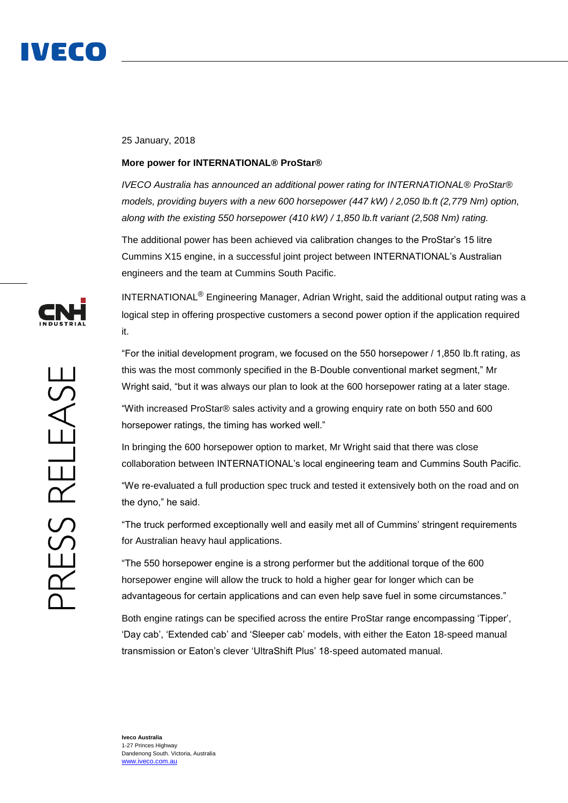

## 25 January, 2018

## **More power for INTERNATIONAL® ProStar®**

*IVECO Australia has announced an additional power rating for INTERNATIONAL® ProStar® models, providing buyers with a new 600 horsepower (447 kW) / 2,050 lb.ft (2,779 Nm) option, along with the existing 550 horsepower (410 kW) / 1,850 lb.ft variant (2,508 Nm) rating.*

The additional power has been achieved via calibration changes to the ProStar's 15 litre Cummins X15 engine, in a successful joint project between INTERNATIONAL's Australian engineers and the team at Cummins South Pacific.

INTERNATIONAL® Engineering Manager, Adrian Wright, said the additional output rating was a logical step in offering prospective customers a second power option if the application required it.

"For the initial development program, we focused on the 550 horsepower / 1,850 lb.ft rating, as this was the most commonly specified in the B-Double conventional market segment," Mr Wright said, "but it was always our plan to look at the 600 horsepower rating at a later stage.

"With increased ProStar® sales activity and a growing enquiry rate on both 550 and 600 horsepower ratings, the timing has worked well."

In bringing the 600 horsepower option to market, Mr Wright said that there was close collaboration between INTERNATIONAL's local engineering team and Cummins South Pacific.

"We re-evaluated a full production spec truck and tested it extensively both on the road and on the dyno," he said.

"The truck performed exceptionally well and easily met all of Cummins' stringent requirements for Australian heavy haul applications.

"The 550 horsepower engine is a strong performer but the additional torque of the 600 horsepower engine will allow the truck to hold a higher gear for longer which can be advantageous for certain applications and can even help save fuel in some circumstances."

Both engine ratings can be specified across the entire ProStar range encompassing 'Tipper', 'Day cab', 'Extended cab' and 'Sleeper cab' models, with either the Eaton 18-speed manual transmission or Eaton's clever 'UltraShift Plus' 18-speed automated manual.